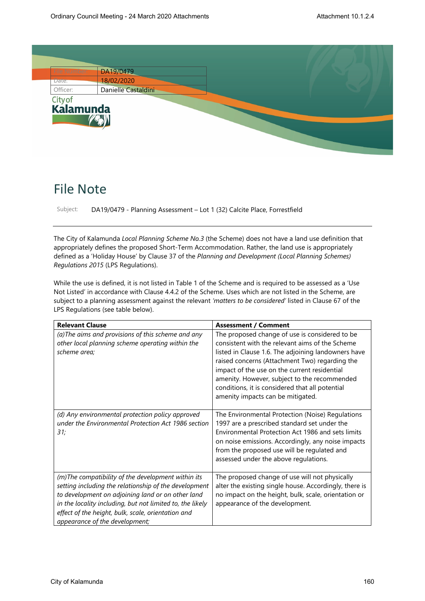

## File Note

Subject: DA19/0479 - Planning Assessment – Lot 1 (32) Calcite Place, Forrestfield

The City of Kalamunda *Local Planning Scheme No.3* (the Scheme) does not have a land use definition that appropriately defines the proposed Short-Term Accommodation. Rather, the land use is appropriately defined as a 'Holiday House' by Clause 37 of the *Planning and Development (Local Planning Schemes) Regulations 2015* (LPS Regulations).

While the use is defined, it is not listed in Table 1 of the Scheme and is required to be assessed as a 'Use Not Listed' in accordance with Clause 4.4.2 of the Scheme. Uses which are not listed in the Scheme, are subject to a planning assessment against the relevant *'matters to be considered'* listed in Clause 67 of the LPS Regulations (see table below).

| <b>Relevant Clause</b>                                                                                                                                                                                                                                                                                                | <b>Assessment / Comment</b>                                                                                                                                                                                                                                                                                                                                                                        |
|-----------------------------------------------------------------------------------------------------------------------------------------------------------------------------------------------------------------------------------------------------------------------------------------------------------------------|----------------------------------------------------------------------------------------------------------------------------------------------------------------------------------------------------------------------------------------------------------------------------------------------------------------------------------------------------------------------------------------------------|
| (a) The aims and provisions of this scheme and any<br>other local planning scheme operating within the<br>scheme area;                                                                                                                                                                                                | The proposed change of use is considered to be<br>consistent with the relevant aims of the Scheme<br>listed in Clause 1.6. The adjoining landowners have<br>raised concerns (Attachment Two) regarding the<br>impact of the use on the current residential<br>amenity. However, subject to the recommended<br>conditions, it is considered that all potential<br>amenity impacts can be mitigated. |
| (d) Any environmental protection policy approved<br>under the Environmental Protection Act 1986 section<br>31;                                                                                                                                                                                                        | The Environmental Protection (Noise) Regulations<br>1997 are a prescribed standard set under the<br>Environmental Protection Act 1986 and sets limits<br>on noise emissions. Accordingly, any noise impacts<br>from the proposed use will be regulated and<br>assessed under the above regulations.                                                                                                |
| (m)The compatibility of the development within its<br>setting including the relationship of the development<br>to development on adjoining land or on other land<br>in the locality including, but not limited to, the likely<br>effect of the height, bulk, scale, orientation and<br>appearance of the development; | The proposed change of use will not physically<br>alter the existing single house. Accordingly, there is<br>no impact on the height, bulk, scale, orientation or<br>appearance of the development.                                                                                                                                                                                                 |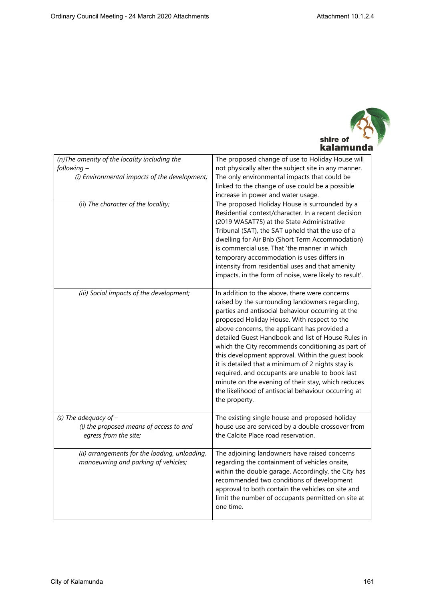

| (n) The amenity of the locality including the<br>following-<br>(i) Environmental impacts of the development; | The proposed change of use to Holiday House will<br>not physically alter the subject site in any manner.<br>The only environmental impacts that could be<br>linked to the change of use could be a possible<br>increase in power and water usage.                                                                                                                                                                                                                                                                                                                                                                                                         |
|--------------------------------------------------------------------------------------------------------------|-----------------------------------------------------------------------------------------------------------------------------------------------------------------------------------------------------------------------------------------------------------------------------------------------------------------------------------------------------------------------------------------------------------------------------------------------------------------------------------------------------------------------------------------------------------------------------------------------------------------------------------------------------------|
| (ii) The character of the locality;                                                                          | The proposed Holiday House is surrounded by a<br>Residential context/character. In a recent decision<br>(2019 WASAT75) at the State Administrative<br>Tribunal (SAT), the SAT upheld that the use of a<br>dwelling for Air Bnb (Short Term Accommodation)<br>is commercial use. That 'the manner in which<br>temporary accommodation is uses differs in<br>intensity from residential uses and that amenity<br>impacts, in the form of noise, were likely to result'.                                                                                                                                                                                     |
| (iii) Social impacts of the development;                                                                     | In addition to the above, there were concerns<br>raised by the surrounding landowners regarding,<br>parties and antisocial behaviour occurring at the<br>proposed Holiday House. With respect to the<br>above concerns, the applicant has provided a<br>detailed Guest Handbook and list of House Rules in<br>which the City recommends conditioning as part of<br>this development approval. Within the guest book<br>it is detailed that a minimum of 2 nights stay is<br>required, and occupants are unable to book last<br>minute on the evening of their stay, which reduces<br>the likelihood of antisocial behaviour occurring at<br>the property. |
| (s) The adequacy of $-$<br>(i) the proposed means of access to and<br>egress from the site;                  | The existing single house and proposed holiday<br>house use are serviced by a double crossover from<br>the Calcite Place road reservation.                                                                                                                                                                                                                                                                                                                                                                                                                                                                                                                |
| (ii) arrangements for the loading, unloading,<br>manoeuvring and parking of vehicles;                        | The adjoining landowners have raised concerns<br>regarding the containment of vehicles onsite,<br>within the double garage. Accordingly, the City has<br>recommended two conditions of development<br>approval to both contain the vehicles on site and<br>limit the number of occupants permitted on site at<br>one time.                                                                                                                                                                                                                                                                                                                                |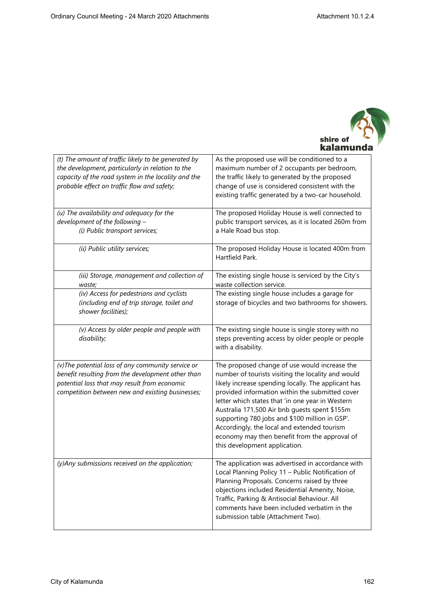

| (t) The amount of traffic likely to be generated by<br>the development, particularly in relation to the<br>capacity of the road system in the locality and the<br>probable effect on traffic flow and safety; | As the proposed use will be conditioned to a<br>maximum number of 2 occupants per bedroom,<br>the traffic likely to generated by the proposed<br>change of use is considered consistent with the<br>existing traffic generated by a two-car household.                                                                                                                                                                                                                                                |
|---------------------------------------------------------------------------------------------------------------------------------------------------------------------------------------------------------------|-------------------------------------------------------------------------------------------------------------------------------------------------------------------------------------------------------------------------------------------------------------------------------------------------------------------------------------------------------------------------------------------------------------------------------------------------------------------------------------------------------|
| (u) The availability and adequacy for the<br>development of the following -<br>(i) Public transport services;                                                                                                 | The proposed Holiday House is well connected to<br>public transport services, as it is located 260m from<br>a Hale Road bus stop.                                                                                                                                                                                                                                                                                                                                                                     |
| (ii) Public utility services;                                                                                                                                                                                 | The proposed Holiday House is located 400m from<br>Hartfield Park.                                                                                                                                                                                                                                                                                                                                                                                                                                    |
| (iii) Storage, management and collection of<br>waste;                                                                                                                                                         | The existing single house is serviced by the City's<br>waste collection service.                                                                                                                                                                                                                                                                                                                                                                                                                      |
| (iv) Access for pedestrians and cyclists<br>(including end of trip storage, toilet and<br>shower facilities);                                                                                                 | The existing single house includes a garage for<br>storage of bicycles and two bathrooms for showers.                                                                                                                                                                                                                                                                                                                                                                                                 |
| (v) Access by older people and people with<br>disability;                                                                                                                                                     | The existing single house is single storey with no<br>steps preventing access by older people or people<br>with a disability.                                                                                                                                                                                                                                                                                                                                                                         |
| (v) The potential loss of any community service or<br>benefit resulting from the development other than<br>potential loss that may result from economic<br>competition between new and existing businesses;   | The proposed change of use would increase the<br>number of tourists visiting the locality and would<br>likely increase spending locally. The applicant has<br>provided information within the submitted cover<br>letter which states that 'in one year in Western<br>Australia 171,500 Air bnb guests spent \$155m<br>supporting 780 jobs and \$100 million in GSP'.<br>Accordingly, the local and extended tourism<br>economy may then benefit from the approval of<br>this development application. |
| (y)Any submissions received on the application;                                                                                                                                                               | The application was advertised in accordance with<br>Local Planning Policy 11 - Public Notification of<br>Planning Proposals. Concerns raised by three<br>objections included Residential Amenity, Noise,<br>Traffic, Parking & Antisocial Behaviour. All<br>comments have been included verbatim in the<br>submission table (Attachment Two).                                                                                                                                                        |